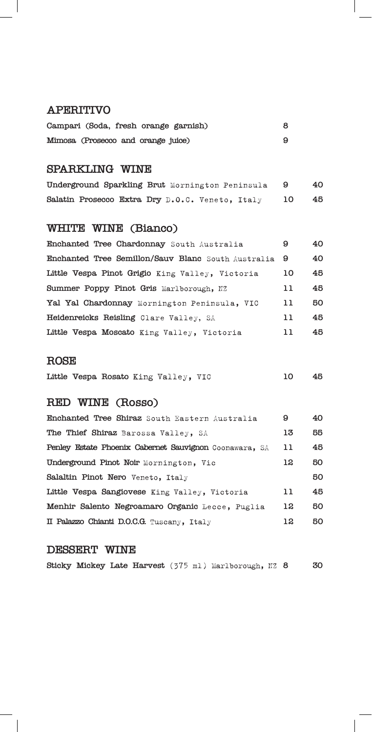#### **APERITIVO**

|                                    |  | Campari (Soda, fresh orange garnish) |  |
|------------------------------------|--|--------------------------------------|--|
| Mimosa (Prosecco and orange juice) |  |                                      |  |

## **SPARKLING WINE**

| Underground Sparkling Brut Mornington Peninsula |  |    | 40 |
|-------------------------------------------------|--|----|----|
| Salatin Prosecco Extra Dry D.O.C. Veneto, Italy |  | 10 | 45 |

## **WHITE WINE (Bianco)**

| Enchanted Tree Chardonnay South Australia          | 9  | 40  |
|----------------------------------------------------|----|-----|
| Enchanted Tree Semillon/Sauv Blanc South Australia | -9 | 40  |
| Little Vespa Pinot Grigio King Valley, Victoria    | 10 | 45  |
| Summer Poppy Pinot Gris Marlborough, NZ            | 11 | 45  |
| Yal Yal Chardonnay Mornington Peninsula, VIC       | 11 | 50  |
| Heidenreicks Reisling Clare Valley, SA             | 11 | 45  |
| Little Vespa Moscato King Valley, Victoria         | 11 | 45. |

#### **ROSE**

|  |  |  |  | Little Vespa Rosato King Valley, VIC |  |  | - 45 |
|--|--|--|--|--------------------------------------|--|--|------|
|--|--|--|--|--------------------------------------|--|--|------|

## **RED WINE (Rosso)**

| Enchanted Tree Shiraz South Eastern Australia          | 9  | 40 |
|--------------------------------------------------------|----|----|
| The Thief Shiraz Barossa Valley, SA                    | 13 | 55 |
| Penley Estate Phoenix Cabernet Sauvignon Coonawara, SA | 11 | 45 |
| Underground Pinot Noir Mornington, Vic                 | 12 | 50 |
| Salaltin Pinot Nero Veneto, Italy                      |    | 50 |
| Little Vespa Sangiovese King Valley, Victoria          | 11 | 45 |
| Menhir Salento Negroamaro Organic Lecce, Puglia        | 12 | 50 |
| II Palazzo Chianti D.O.C.G. Tuscany, Italy             | 12 | 50 |

#### **DESSERT WINE**

 $\overline{\phantom{a}}$ 

|  |  |  |  |  |  | Sticky Mickey Late Harvest (375 ml) Marlborough, NZ 8 |  |  | 30 |
|--|--|--|--|--|--|-------------------------------------------------------|--|--|----|
|--|--|--|--|--|--|-------------------------------------------------------|--|--|----|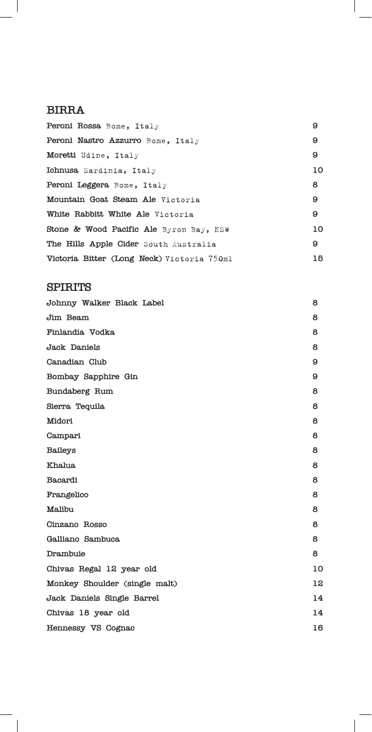#### **BIRRA**

 $\overline{\phantom{a}}$ 

| Peroni Rossa Rome, Italy                   | 9  |
|--------------------------------------------|----|
| Peroni Nastro Azzurro Rome, Italy          | 9  |
| Moretti Udine, Italy                       | 9  |
| Ichnusa Sardinia, Italy                    | 10 |
| <b>Peroni Leggera Rome, Italy</b>          | 8  |
| Mountain Goat Steam Ale Victoria           | 9  |
| White Rabbitt White Ale Victoria           | 9  |
| Stone & Wood Pacific Ale Byron Bay, NSW    | 10 |
| The Hills Apple Cider South Australia      | 9  |
| Victoria Bitter (Long Neck) Victoria 750ml | 15 |

 $\overline{\phantom{a}}$ 

 $\overline{\phantom{a}}$ 

#### **SPIRITS**

 $\blacksquare$ 

| Johnny Walker Black Label     | 8  |
|-------------------------------|----|
| Jim Beam                      | 8  |
| Finlandia Vodka               | 8  |
| Jack Daniels                  | 8  |
| Canadian Club                 | 9  |
| Bombay Sapphire Gin           | 9  |
| Bundaberg Rum                 | 8  |
| Sierra Tequila                | 8  |
| Midori                        | 8  |
| Campari                       | 8  |
| <b>Baileys</b>                | 8  |
| <b>Khalua</b>                 | 8  |
| Bacardi                       | 8  |
| Frangelico                    | 8  |
| Malibu                        | 8  |
| Cinzano Rosso                 | 8  |
| Galliano Sambuca              | 8  |
| Drambuie                      | 8  |
| Chivas Regal 12 year old      | 10 |
| Monkey Shoulder (single malt) | 12 |
| Jack Daniels Single Barrel    | 14 |
| Chivas 18 year old            | 14 |
| Hennessy VS Cognac            | 16 |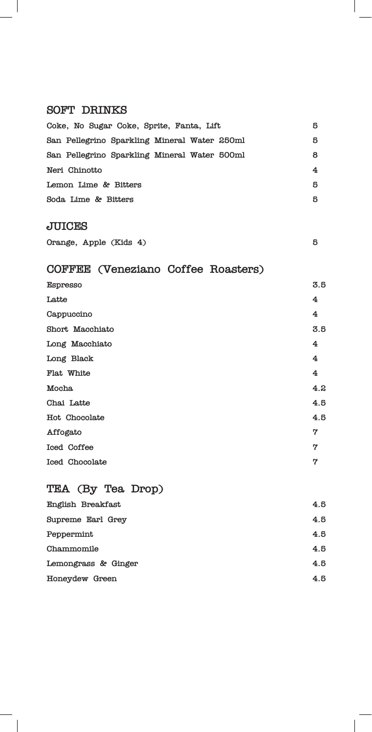# **SOFT DRINKS**

 $\overline{\phantom{a}}$ 

 $\overline{\phantom{a}}$ 

| Coke, No Sugar Coke, Sprite, Fanta, Lift     | 5   |
|----------------------------------------------|-----|
| San Pellegrino Sparkling Mineral Water 250ml | 5   |
| San Pellegrino Sparkling Mineral Water 500ml | 8   |
| Neri Chinotto                                | 4   |
| Lemon Lime & Bitters                         | 5   |
| Soda Lime & Bitters                          | 5   |
| <b>JUICES</b>                                |     |
| Orange, Apple (Kids 4)                       | 5   |
| COFFEE (Veneziano Coffee Roasters)           |     |
| Espresso                                     | 5.5 |
| Latte                                        | 4   |
| Cappuccino                                   | 4   |
| Short Macchiato                              | 5.5 |
| Long Macchiato                               | 4   |
| Long Black                                   | 4   |
| Flat White                                   | 4   |
| Mocha                                        | 4.2 |
| Chai Latte                                   | 4.5 |
| Hot Chocolate                                | 4.5 |
| Affogato                                     | 7   |
| Iced Coffee                                  | 7   |
| Iced Chocolate                               | 7   |
| TEA (By Tea Drop)                            |     |
| English Breakfast                            | 4.5 |
| Supreme Earl Grey                            | 4.5 |
| Peppermint                                   | 4.5 |
| Chammomile                                   | 4.5 |

 $\overline{\phantom{a}}$ 

Lemongrass & Ginger 4.5 **Honeydew Green 4.5**